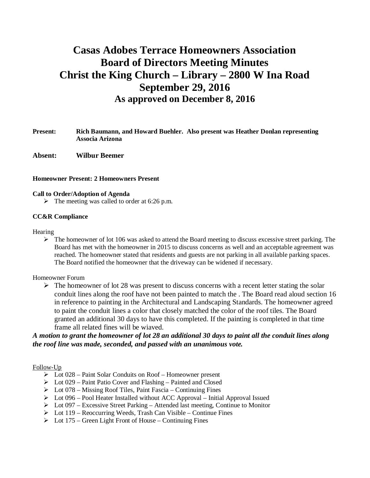# **Casas Adobes Terrace Homeowners Association Board of Directors Meeting Minutes Christ the King Church – Library – 2800 W Ina Road September 29, 2016 As approved on December 8, 2016**

- **Present: Rich Baumann, and Howard Buehler. Also present was Heather Donlan representing Associa Arizona**
- **Absent: Wilbur Beemer**

#### **Homeowner Present: 2 Homeowners Present**

#### **Call to Order/Adoption of Agenda**

 $\triangleright$  The meeting was called to order at 6:26 p.m.

#### **CC&R Compliance**

#### **Hearing**

 $\triangleright$  The homeowner of lot 106 was asked to attend the Board meeting to discuss excessive street parking. The Board has met with the homeowner in 2015 to discuss concerns as well and an acceptable agreement was reached. The homeowner stated that residents and guests are not parking in all available parking spaces. The Board notified the homeowner that the driveway can be widened if necessary.

#### Homeowner Forum

 $\triangleright$  The homeowner of lot 28 was present to discuss concerns with a recent letter stating the solar conduit lines along the roof have not been painted to match the . The Board read aloud section 16 in reference to painting in the Architectural and Landscaping Standards. The homeowner agreed to paint the conduit lines a color that closely matched the color of the roof tiles. The Board granted an additional 30 days to have this completed. If the painting is completed in that time frame all related fines will be wiaved.

# *A motion to grant the homeowner of lot 28 an additional 30 days to paint all the conduit lines along the roof line was made, seconded, and passed with an unanimous vote.*

#### Follow-Up

- $\triangleright$  Lot 028 Paint Solar Conduits on Roof Homeowner present
- $\triangleright$  Lot 029 Paint Patio Cover and Flashing Painted and Closed
- $\triangleright$  Lot 078 Missing Roof Tiles, Paint Fascia Continuing Fines
- $\triangleright$  Lot 096 Pool Heater Installed without ACC Approval Initial Approval Issued
- $\triangleright$  Lot 097 Excessive Street Parking Attended last meeting, Continue to Monitor
- $\triangleright$  Lot 119 Reoccurring Weeds, Trash Can Visible Continue Fines
- $\triangleright$  Lot 175 Green Light Front of House Continuing Fines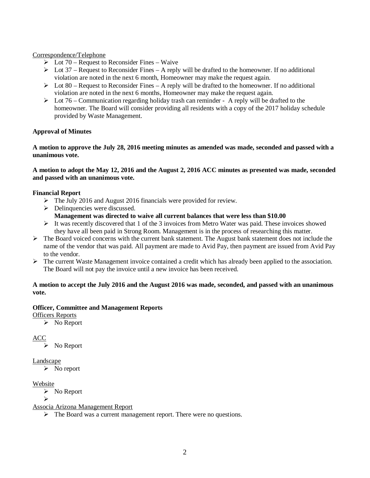## Correspondence/Telephone

- $\triangleright$  Lot 70 Request to Reconsider Fines Waive
- $\triangleright$  Lot 37 Request to Reconsider Fines A reply will be drafted to the homeowner. If no additional violation are noted in the next 6 month, Homeowner may make the request again.
- $\triangleright$  Lot 80 Request to Reconsider Fines A reply will be drafted to the homeowner. If no additional violation are noted in the next 6 months, Homeowner may make the request again.
- $\triangleright$  Lot 76 Communication regarding holiday trash can reminder A reply will be drafted to the homeowner. The Board will consider providing all residents with a copy of the 2017 holiday schedule provided by Waste Management.

# **Approval of Minutes**

**A motion to approve the July 28, 2016 meeting minutes as amended was made, seconded and passed with a unanimous vote.**

## **A motion to adopt the May 12, 2016 and the August 2, 2016 ACC minutes as presented was made, seconded and passed with an unanimous vote.**

# **Financial Report**

- $\triangleright$  The July 2016 and August 2016 financials were provided for review.
- $\triangleright$  Delinquencies were discussed. **Management was directed to waive all current balances that were less than \$10.00**
- $\triangleright$  It was recently discovered that 1 of the 3 invoices from Metro Water was paid. These invoices showed they have all been paid in Strong Room. Management is in the process of researching this matter.
- $\triangleright$  The Board voiced concerns with the current bank statement. The August bank statement does not include the name of the vendor that was paid. All payment are made to Avid Pay, then payment are issued from Avid Pay to the vendor.
- $\triangleright$  The current Waste Management invoice contained a credit which has already been applied to the association. The Board will not pay the invoice until a new invoice has been received.

## **A motion to accept the July 2016 and the August 2016 was made, seconded, and passed with an unanimous vote.**

# **Officer, Committee and Management Reports**

Officers Reports

 $\triangleright$  No Report

ACC

 $\triangleright$  No Report

Landscape

 $\triangleright$  No report

Website

 $\triangleright$  No Report

Ø Associa Arizona Management Report

 $\triangleright$  The Board was a current management report. There were no questions.